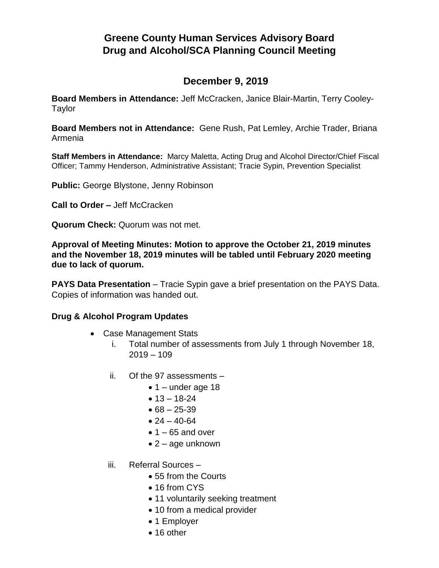## **Greene County Human Services Advisory Board Drug and Alcohol/SCA Planning Council Meeting**

## **December 9, 2019**

**Board Members in Attendance:** Jeff McCracken, Janice Blair-Martin, Terry Cooley-Taylor

**Board Members not in Attendance:** Gene Rush, Pat Lemley, Archie Trader, Briana Armenia

**Staff Members in Attendance:** Marcy Maletta, Acting Drug and Alcohol Director/Chief Fiscal Officer; Tammy Henderson, Administrative Assistant; Tracie Sypin, Prevention Specialist

**Public:** George Blystone, Jenny Robinson

**Call to Order –** Jeff McCracken

**Quorum Check:** Quorum was not met.

**Approval of Meeting Minutes: Motion to approve the October 21, 2019 minutes and the November 18, 2019 minutes will be tabled until February 2020 meeting due to lack of quorum.**

**PAYS Data Presentation** – Tracie Sypin gave a brief presentation on the PAYS Data. Copies of information was handed out.

## **Drug & Alcohol Program Updates**

- Case Management Stats
	- i. Total number of assessments from July 1 through November 18,  $2019 - 109$
	- ii. Of the 97 assessments
		- $\bullet$  1 under age 18
		- $13 18 24$
		- $68 25 39$
		- $24 40 64$
		- $\bullet$  1 65 and over
		- $\bullet$  2 age unknown
	- iii. Referral Sources
		- 55 from the Courts
		- 16 from CYS
		- 11 voluntarily seeking treatment
		- 10 from a medical provider
		- 1 Employer
		- 16 other